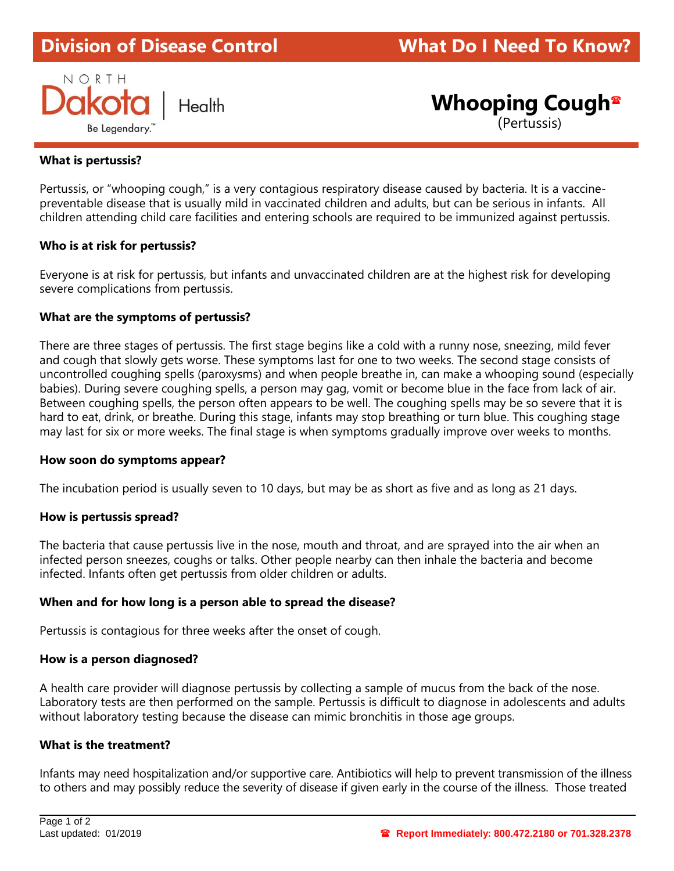# **Division of Disease Control What Do I Need To Know?**



**Whooping Cough**

(Pertussis)

## **What is pertussis?**

Pertussis, or "whooping cough," is a very contagious respiratory disease caused by bacteria. It is a vaccinepreventable disease that is usually mild in vaccinated children and adults, but can be serious in infants. All children attending child care facilities and entering schools are required to be immunized against pertussis.

#### **Who is at risk for pertussis?**

Everyone is at risk for pertussis, but infants and unvaccinated children are at the highest risk for developing severe complications from pertussis.

#### **What are the symptoms of pertussis?**

There are three stages of pertussis. The first stage begins like a cold with a runny nose, sneezing, mild fever and cough that slowly gets worse. These symptoms last for one to two weeks. The second stage consists of uncontrolled coughing spells (paroxysms) and when people breathe in, can make a whooping sound (especially babies). During severe coughing spells, a person may gag, vomit or become blue in the face from lack of air. Between coughing spells, the person often appears to be well. The coughing spells may be so severe that it is hard to eat, drink, or breathe. During this stage, infants may stop breathing or turn blue. This coughing stage may last for six or more weeks. The final stage is when symptoms gradually improve over weeks to months.

#### **How soon do symptoms appear?**

The incubation period is usually seven to 10 days, but may be as short as five and as long as 21 days.

#### **How is pertussis spread?**

The bacteria that cause pertussis live in the nose, mouth and throat, and are sprayed into the air when an infected person sneezes, coughs or talks. Other people nearby can then inhale the bacteria and become infected. Infants often get pertussis from older children or adults.

#### **When and for how long is a person able to spread the disease?**

Pertussis is contagious for three weeks after the onset of cough.

#### **How is a person diagnosed?**

A health care provider will diagnose pertussis by collecting a sample of mucus from the back of the nose. Laboratory tests are then performed on the sample. Pertussis is difficult to diagnose in adolescents and adults without laboratory testing because the disease can mimic bronchitis in those age groups.

#### **What is the treatment?**

Infants may need hospitalization and/or supportive care. Antibiotics will help to prevent transmission of the illness to others and may possibly reduce the severity of disease if given early in the course of the illness. Those treated